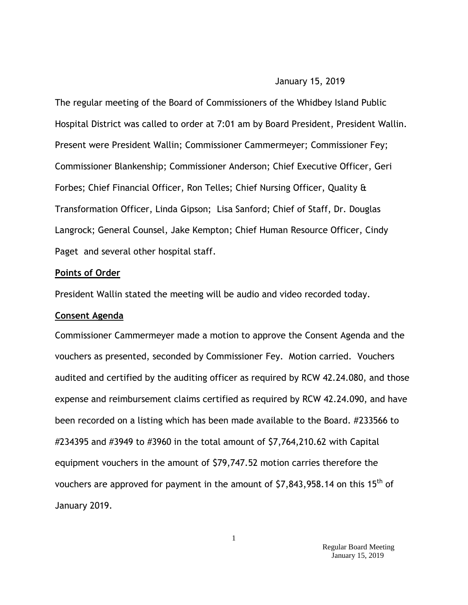#### January 15, 2019

The regular meeting of the Board of Commissioners of the Whidbey Island Public Hospital District was called to order at 7:01 am by Board President, President Wallin. Present were President Wallin; Commissioner Cammermeyer; Commissioner Fey; Commissioner Blankenship; Commissioner Anderson; Chief Executive Officer, Geri Forbes; Chief Financial Officer, Ron Telles; Chief Nursing Officer, Quality & Transformation Officer, Linda Gipson; Lisa Sanford; Chief of Staff, Dr. Douglas Langrock; General Counsel, Jake Kempton; Chief Human Resource Officer, Cindy Paget and several other hospital staff.

#### **Points of Order**

President Wallin stated the meeting will be audio and video recorded today.

#### **Consent Agenda**

Commissioner Cammermeyer made a motion to approve the Consent Agenda and the vouchers as presented, seconded by Commissioner Fey. Motion carried. Vouchers audited and certified by the auditing officer as required by RCW 42.24.080, and those expense and reimbursement claims certified as required by RCW 42.24.090, and have been recorded on a listing which has been made available to the Board. #233566 to #234395 and #3949 to #3960 in the total amount of \$7,764,210.62 with Capital equipment vouchers in the amount of \$79,747.52 motion carries therefore the vouchers are approved for payment in the amount of  $$7,843,958.14$  on this  $15<sup>th</sup>$  of January 2019.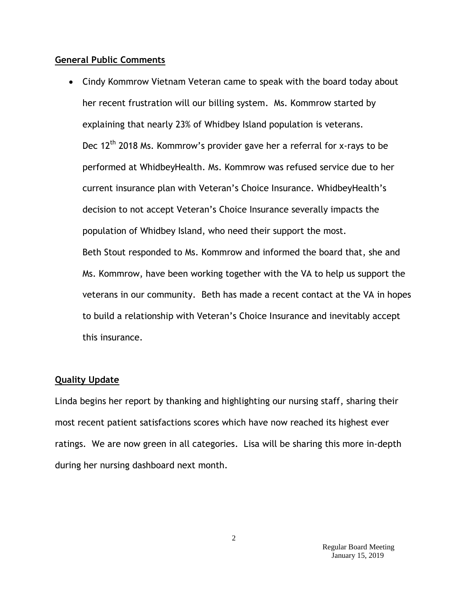#### **General Public Comments**

 Cindy Kommrow Vietnam Veteran came to speak with the board today about her recent frustration will our billing system.Ms. Kommrow started by explaining that nearly 23% of Whidbey Island population is veterans. Dec  $12<sup>th</sup>$  2018 Ms. Kommrow's provider gave her a referral for x-rays to be performed at WhidbeyHealth. Ms. Kommrow was refused service due to her current insurance plan with Veteran's Choice Insurance. WhidbeyHealth's decision to not accept Veteran's Choice Insurance severally impacts the population of Whidbey Island, who need their support the most. Beth Stout responded to Ms. Kommrow and informed the board that, she and Ms. Kommrow, have been working together with the VA to help us support the veterans in our community. Beth has made a recent contact at the VA in hopes to build a relationship with Veteran's Choice Insurance and inevitably accept this insurance.

#### **Quality Update**

Linda begins her report by thanking and highlighting our nursing staff, sharing their most recent patient satisfactions scores which have now reached its highest ever ratings. We are now green in all categories. Lisa will be sharing this more in-depth during her nursing dashboard next month.

> Regular Board Meeting January 15, 2019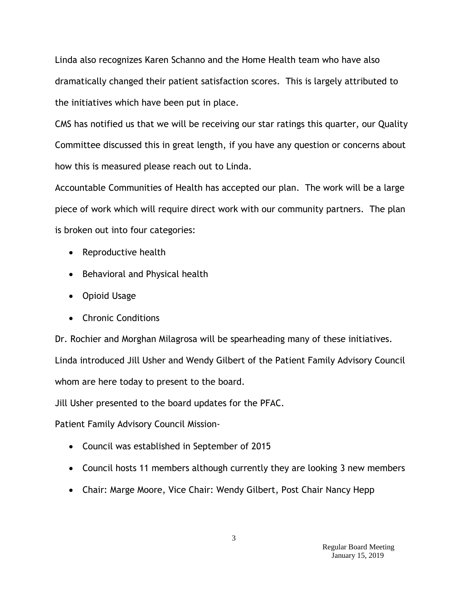Linda also recognizes Karen Schanno and the Home Health team who have also dramatically changed their patient satisfaction scores. This is largely attributed to the initiatives which have been put in place.

CMS has notified us that we will be receiving our star ratings this quarter, our Quality Committee discussed this in great length, if you have any question or concerns about how this is measured please reach out to Linda.

Accountable Communities of Health has accepted our plan. The work will be a large piece of work which will require direct work with our community partners. The plan is broken out into four categories:

- Reproductive health
- Behavioral and Physical health
- Opioid Usage
- Chronic Conditions

Dr. Rochier and Morghan Milagrosa will be spearheading many of these initiatives. Linda introduced Jill Usher and Wendy Gilbert of the Patient Family Advisory Council whom are here today to present to the board.

Jill Usher presented to the board updates for the PFAC.

Patient Family Advisory Council Mission-

- Council was established in September of 2015
- Council hosts 11 members although currently they are looking 3 new members
- Chair: Marge Moore, Vice Chair: Wendy Gilbert, Post Chair Nancy Hepp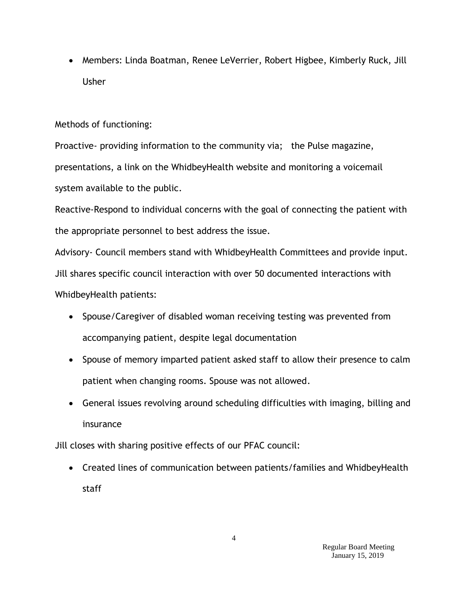• Members: Linda Boatman, Renee LeVerrier, Robert Higbee, Kimberly Ruck, Jill Usher

## Methods of functioning:

Proactive- providing information to the community via; the Pulse magazine, presentations, a link on the WhidbeyHealth website and monitoring a voicemail system available to the public.

Reactive-Respond to individual concerns with the goal of connecting the patient with the appropriate personnel to best address the issue.

Advisory- Council members stand with WhidbeyHealth Committees and provide input. Jill shares specific council interaction with over 50 documented interactions with WhidbeyHealth patients:

- Spouse/Caregiver of disabled woman receiving testing was prevented from accompanying patient, despite legal documentation
- Spouse of memory imparted patient asked staff to allow their presence to calm patient when changing rooms. Spouse was not allowed.
- General issues revolving around scheduling difficulties with imaging, billing and insurance

Jill closes with sharing positive effects of our PFAC council:

 Created lines of communication between patients/families and WhidbeyHealth staff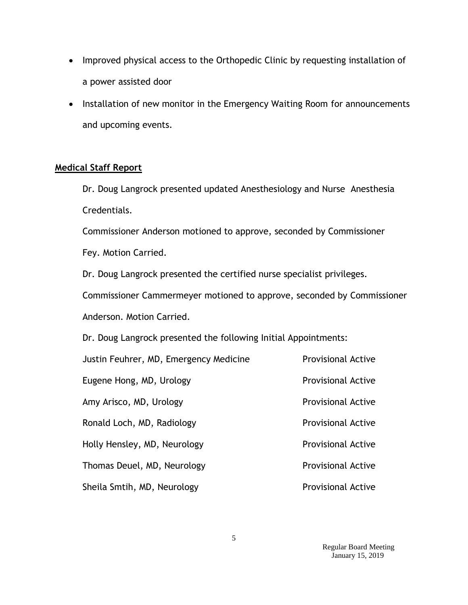- Improved physical access to the Orthopedic Clinic by requesting installation of a power assisted door
- Installation of new monitor in the Emergency Waiting Room for announcements and upcoming events.

## **Medical Staff Report**

Dr. Doug Langrock presented updated Anesthesiology and Nurse Anesthesia Credentials.

Commissioner Anderson motioned to approve, seconded by Commissioner

Fey. Motion Carried.

Dr. Doug Langrock presented the certified nurse specialist privileges.

Commissioner Cammermeyer motioned to approve, seconded by Commissioner Anderson. Motion Carried.

Dr. Doug Langrock presented the following Initial Appointments:

| Justin Feuhrer, MD, Emergency Medicine | <b>Provisional Active</b> |
|----------------------------------------|---------------------------|
| Eugene Hong, MD, Urology               | <b>Provisional Active</b> |
| Amy Arisco, MD, Urology                | <b>Provisional Active</b> |
| Ronald Loch, MD, Radiology             | <b>Provisional Active</b> |
| Holly Hensley, MD, Neurology           | <b>Provisional Active</b> |
| Thomas Deuel, MD, Neurology            | <b>Provisional Active</b> |
| Sheila Smtih, MD, Neurology            | <b>Provisional Active</b> |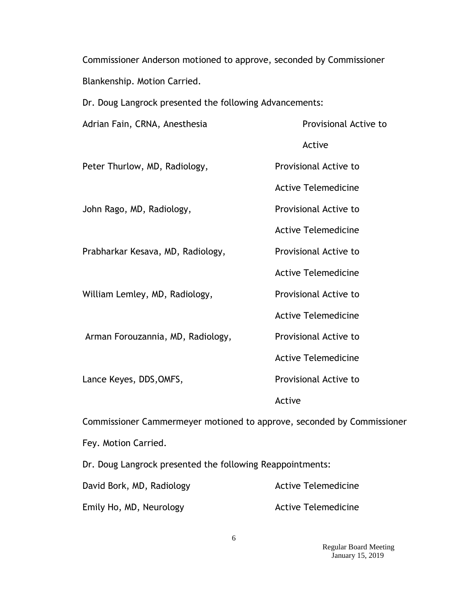Commissioner Anderson motioned to approve, seconded by Commissioner Blankenship. Motion Carried.

Dr. Doug Langrock presented the following Advancements:

| Adrian Fain, CRNA, Anesthesia                                          | Provisional Active to      |  |
|------------------------------------------------------------------------|----------------------------|--|
|                                                                        | Active                     |  |
| Peter Thurlow, MD, Radiology,                                          | Provisional Active to      |  |
|                                                                        | <b>Active Telemedicine</b> |  |
| John Rago, MD, Radiology,                                              | Provisional Active to      |  |
|                                                                        | <b>Active Telemedicine</b> |  |
| Prabharkar Kesava, MD, Radiology,                                      | Provisional Active to      |  |
|                                                                        | <b>Active Telemedicine</b> |  |
| William Lemley, MD, Radiology,                                         | Provisional Active to      |  |
|                                                                        | <b>Active Telemedicine</b> |  |
| Arman Forouzannia, MD, Radiology,                                      | Provisional Active to      |  |
|                                                                        | <b>Active Telemedicine</b> |  |
| Lance Keyes, DDS, OMFS,                                                | Provisional Active to      |  |
|                                                                        | Active                     |  |
| Commissioner Cammermeyer motioned to approve, seconded by Commissioner |                            |  |

Fey. Motion Carried.

Dr. Doug Langrock presented the following Reappointments:

| David Bork, MD, Radiology | <b>Active Telemedicine</b> |
|---------------------------|----------------------------|
| Emily Ho, MD, Neurology   | <b>Active Telemedicine</b> |

 Regular Board Meeting January 15, 2019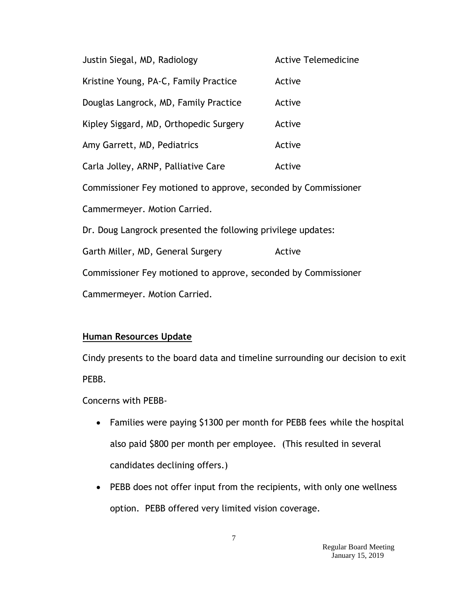| Justin Siegal, MD, Radiology                                   | <b>Active Telemedicine</b> |  |
|----------------------------------------------------------------|----------------------------|--|
| Kristine Young, PA-C, Family Practice                          | Active                     |  |
| Douglas Langrock, MD, Family Practice                          | Active                     |  |
| Kipley Siggard, MD, Orthopedic Surgery                         | Active                     |  |
| Amy Garrett, MD, Pediatrics                                    | Active                     |  |
| Carla Jolley, ARNP, Palliative Care                            | Active                     |  |
| Commissioner Fey motioned to approve, seconded by Commissioner |                            |  |
| Cammermeyer. Motion Carried.                                   |                            |  |
| Dr. Doug Langrock presented the following privilege updates:   |                            |  |
| Garth Miller, MD, General Surgery                              | Active                     |  |
| Commissioner Fey motioned to approve, seconded by Commissioner |                            |  |
| Cammermeyer. Motion Carried.                                   |                            |  |

## **Human Resources Update**

Cindy presents to the board data and timeline surrounding our decision to exit PEBB.

Concerns with PEBB-

- Families were paying \$1300 per month for PEBB fees while the hospital also paid \$800 per month per employee. (This resulted in several candidates declining offers.)
- PEBB does not offer input from the recipients, with only one wellness option. PEBB offered very limited vision coverage.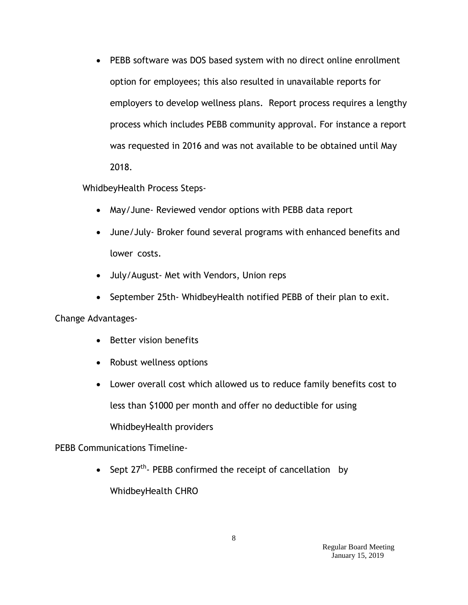PEBB software was DOS based system with no direct online enrollment option for employees; this also resulted in unavailable reports for employers to develop wellness plans. Report process requires a lengthy process which includes PEBB community approval. For instance a report was requested in 2016 and was not available to be obtained until May 2018.

WhidbeyHealth Process Steps-

- May/June- Reviewed vendor options with PEBB data report
- June/July- Broker found several programs with enhanced benefits and lower costs.
- July/August- Met with Vendors, Union reps
- September 25th- WhidbeyHealth notified PEBB of their plan to exit.

Change Advantages-

- Better vision benefits
- Robust wellness options
- Lower overall cost which allowed us to reduce family benefits cost to less than \$1000 per month and offer no deductible for using WhidbeyHealth providers

#### PEBB Communications Timeline-

• Sept  $27^{th}$ - PEBB confirmed the receipt of cancellation by WhidbeyHealth CHRO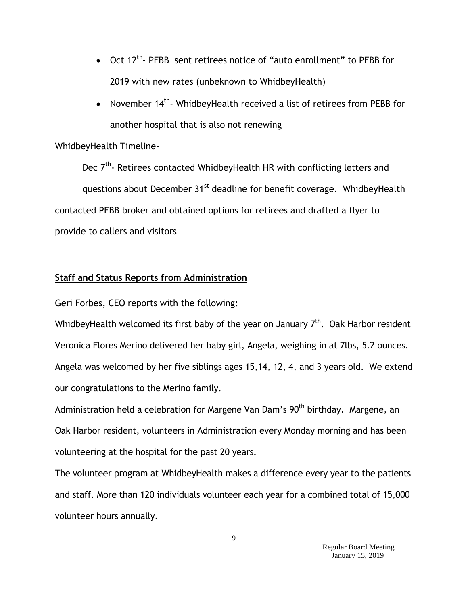- Oct 12<sup>th</sup>- PEBB sent retirees notice of "auto enrollment" to PEBB for 2019 with new rates (unbeknown to WhidbeyHealth)
- November  $14^{th}$  WhidbeyHealth received a list of retirees from PEBB for another hospital that is also not renewing

### WhidbeyHealth Timeline-

Dec 7<sup>th</sup>- Retirees contacted WhidbeyHealth HR with conflicting letters and questions about December 31<sup>st</sup> deadline for benefit coverage. WhidbeyHealth contacted PEBB broker and obtained options for retirees and drafted a flyer to provide to callers and visitors

## **Staff and Status Reports from Administration**

Geri Forbes, CEO reports with the following:

WhidbeyHealth welcomed its first baby of the year on January  $7<sup>th</sup>$ . Oak Harbor resident Veronica Flores Merino delivered her baby girl, Angela, weighing in at 7lbs, 5.2 ounces. Angela was welcomed by her five siblings ages 15,14, 12, 4, and 3 years old. We extend our congratulations to the Merino family.

Administration held a celebration for Margene Van Dam's 90<sup>th</sup> birthday. Margene, an Oak Harbor resident, volunteers in Administration every Monday morning and has been volunteering at the hospital for the past 20 years.

The volunteer program at WhidbeyHealth makes a difference every year to the patients and staff. More than 120 individuals volunteer each year for a combined total of 15,000 volunteer hours annually.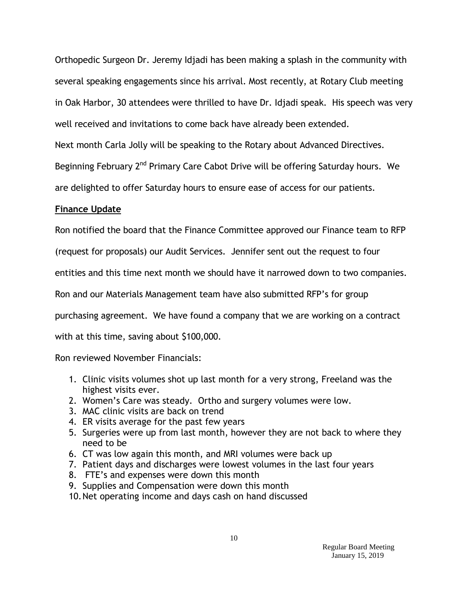Orthopedic Surgeon Dr. Jeremy Idjadi has been making a splash in the community with several speaking engagements since his arrival. Most recently, at Rotary Club meeting in Oak Harbor, 30 attendees were thrilled to have Dr. Idjadi speak. His speech was very well received and invitations to come back have already been extended.

Next month Carla Jolly will be speaking to the Rotary about Advanced Directives.

Beginning February 2<sup>nd</sup> Primary Care Cabot Drive will be offering Saturday hours. We

are delighted to offer Saturday hours to ensure ease of access for our patients.

#### **Finance Update**

Ron notified the board that the Finance Committee approved our Finance team to RFP

(request for proposals) our Audit Services. Jennifer sent out the request to four

entities and this time next month we should have it narrowed down to two companies.

Ron and our Materials Management team have also submitted RFP's for group

purchasing agreement. We have found a company that we are working on a contract

with at this time, saving about \$100,000.

Ron reviewed November Financials:

- 1. Clinic visits volumes shot up last month for a very strong, Freeland was the highest visits ever.
- 2. Women's Care was steady. Ortho and surgery volumes were low.
- 3. MAC clinic visits are back on trend
- 4. ER visits average for the past few years
- 5. Surgeries were up from last month, however they are not back to where they need to be
- 6. CT was low again this month, and MRI volumes were back up
- 7. Patient days and discharges were lowest volumes in the last four years
- 8. FTE's and expenses were down this month
- 9. Supplies and Compensation were down this month
- 10.Net operating income and days cash on hand discussed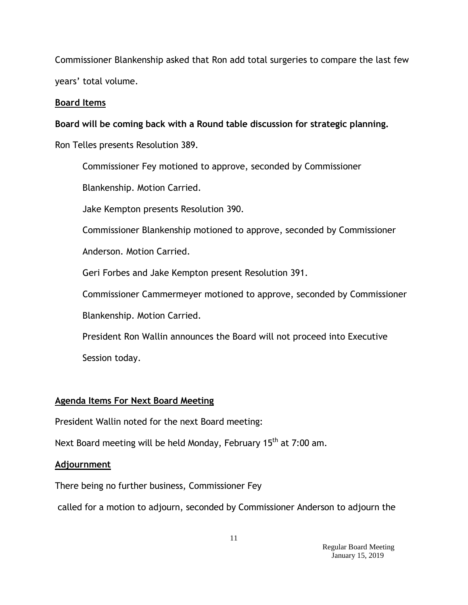Commissioner Blankenship asked that Ron add total surgeries to compare the last few years' total volume.

## **Board Items**

**Board will be coming back with a Round table discussion for strategic planning.**

Ron Telles presents Resolution 389.

Commissioner Fey motioned to approve, seconded by Commissioner

Blankenship. Motion Carried.

Jake Kempton presents Resolution 390.

Commissioner Blankenship motioned to approve, seconded by Commissioner

Anderson. Motion Carried.

Geri Forbes and Jake Kempton present Resolution 391.

Commissioner Cammermeyer motioned to approve, seconded by Commissioner

Blankenship. Motion Carried.

President Ron Wallin announces the Board will not proceed into Executive Session today.

# **Agenda Items For Next Board Meeting**

President Wallin noted for the next Board meeting:

Next Board meeting will be held Monday, February 15<sup>th</sup> at 7:00 am.

## **Adjournment**

There being no further business, Commissioner Fey

called for a motion to adjourn, seconded by Commissioner Anderson to adjourn the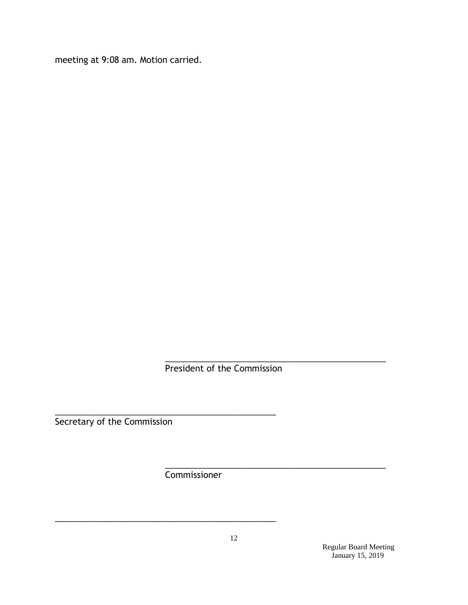meeting at 9:08 am. Motion carried.

\_\_\_\_\_\_\_\_\_\_\_\_\_\_\_\_\_\_\_\_\_\_\_\_\_\_\_\_\_\_\_\_\_\_\_\_\_\_\_\_\_\_\_\_\_\_ President of the Commission

\_\_\_\_\_\_\_\_\_\_\_\_\_\_\_\_\_\_\_\_\_\_\_\_\_\_\_\_\_\_\_\_\_\_\_\_\_\_\_\_\_\_\_\_\_\_ Secretary of the Commission

Commissioner

\_\_\_\_\_\_\_\_\_\_\_\_\_\_\_\_\_\_\_\_\_\_\_\_\_\_\_\_\_\_\_\_\_\_\_\_\_\_\_\_\_\_\_\_\_\_

Regular Board Meeting January 15, 2019

\_\_\_\_\_\_\_\_\_\_\_\_\_\_\_\_\_\_\_\_\_\_\_\_\_\_\_\_\_\_\_\_\_\_\_\_\_\_\_\_\_\_\_\_\_\_